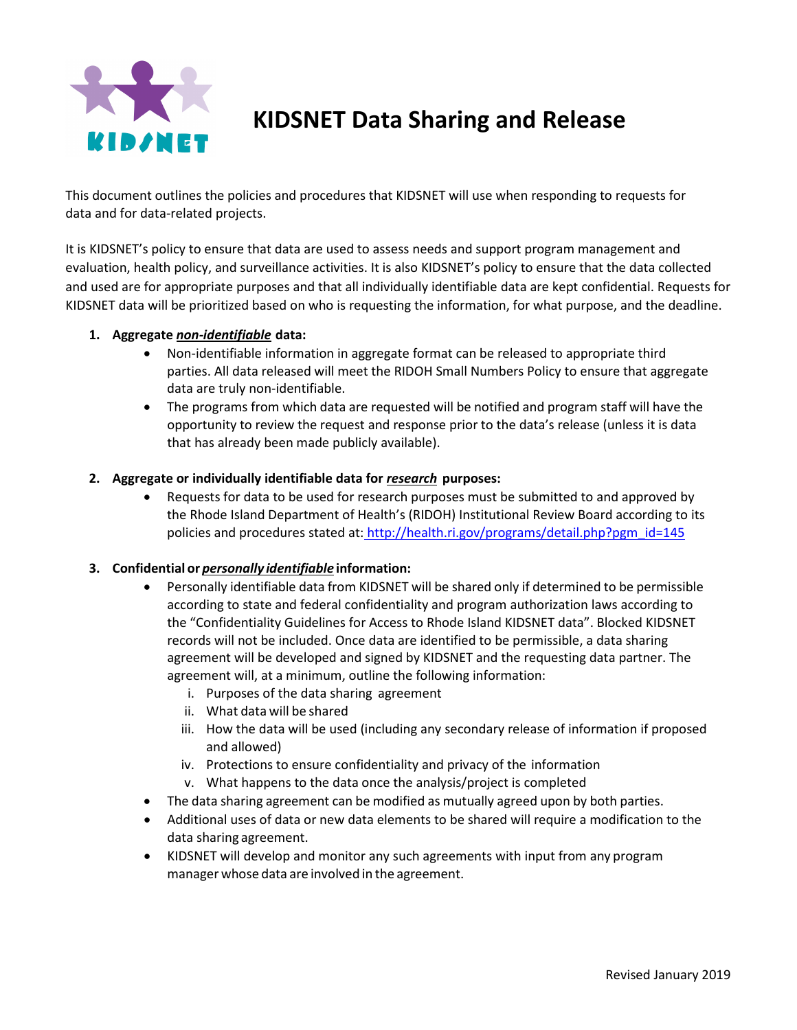

**KIDSNET Data Sharing and Release** 

This document outlines the policies and procedures that KIDSNET will use when responding to requests for data and for data-related projects.

It is KIDSNET's policy to ensure that data are used to assess needs and support program management and evaluation, health policy, and surveillance activities. It is also KIDSNET's policy to ensure that the data collected and used are for appropriate purposes and that all individually identifiable data are kept confidential. Requests for KIDSNET data will be prioritized based on who is requesting the information, for what purpose, and the deadline.

### **1. Aggregate** *non-identifiable* **data:**

- Non-identifiable information in aggregate format can be released to appropriate third parties. All data released will meet the RIDOH Small Numbers Policy to ensure that aggregate data are truly non-identifiable.
- The programs from which data are requested will be notified and program staff will have the opportunity to review the request and response prior to the data's release (unless it is data that has already been made publicly available).

### **2. Aggregate or individually identifiable data for** *research* **purposes:**

• Requests for data to be used for research purposes must be submitted to and approved by the Rhode Island Department of Health's (RIDOH) Institutional Review Board according to its policies and procedures stated at: http://health.ri.gov/programs/detail.php?pgm\_id=145

## **3. Confidential or** *personally identifiable* **information:**

- Personally identifiable data from KIDSNET will be shared only if determined to be permissible according to state and federal confidentiality and program authorization laws according to the "Confidentiality Guidelines for Access to Rhode Island KIDSNET data". Blocked KIDSNET records will not be included. Once data are identified to be permissible, a data sharing agreement will be developed and signed by KIDSNET and the requesting data partner. The agreement will, at a minimum, outline the following information:
	- i. Purposes of the data sharing agreement
	- ii. What data will be shared
	- iii. How the data will be used (including any secondary release of information if proposed and allowed)
	- iv. Protections to ensure confidentiality and privacy of the information
	- v. What happens to the data once the analysis/project is completed
- The data sharing agreement can be modified as mutually agreed upon by both parties.
- Additional uses of data or new data elements to be shared will require a modification to the data sharing agreement.
- KIDSNET will develop and monitor any such agreements with input from any program manager whose data are involved in the agreement.